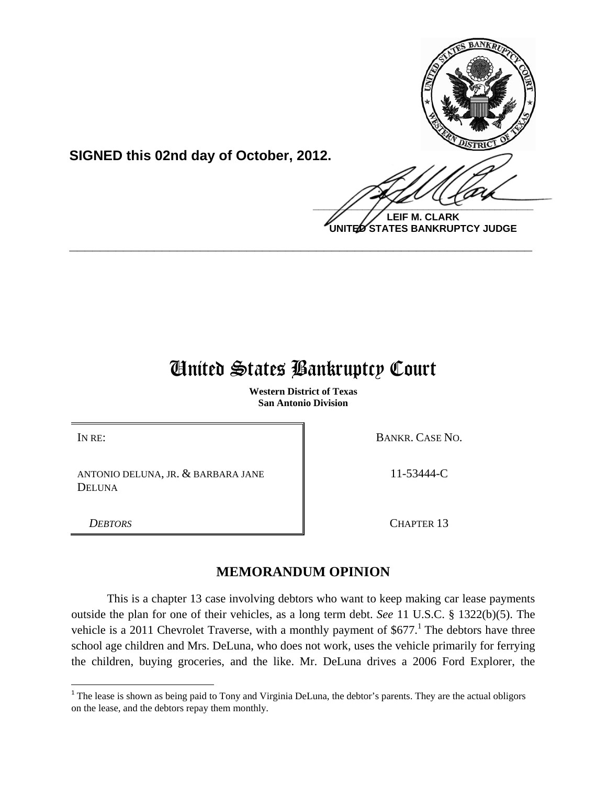

**SIGNED this 02nd day of October, 2012.**

**LEIF M. CLARK UNITED STATES BANKRUPTCY JUDGE**

# United States Bankruptcy Court

**\_\_\_\_\_\_\_\_\_\_\_\_\_\_\_\_\_\_\_\_\_\_\_\_\_\_\_\_\_\_\_\_\_\_\_\_\_\_\_\_\_\_\_\_\_\_\_\_\_\_\_\_\_\_\_\_\_\_\_\_**

**Western District of Texas San Antonio Division**

IN RE: BANKR. CASE NO.

ANTONIO DELUNA, JR. & BARBARA JANE DELUNA

11-53444-C

**DEBTORS** CHAPTER 13

## **MEMORANDUM OPINION**

This is a chapter 13 case involving debtors who want to keep making car lease payments outside the plan for one of their vehicles, as a long term debt. *See* 11 U.S.C. § 1322(b)(5). The vehicle is a 2011 Chevrolet Traverse, with a monthly payment of  $$677<sup>1</sup>$  The debtors have three school age children and Mrs. DeLuna, who does not work, uses the vehicle primarily for ferrying the children, buying groceries, and the like. Mr. DeLuna drives a 2006 Ford Explorer, the

 $1$ <sup>1</sup> The lease is shown as being paid to Tony and Virginia DeLuna, the debtor's parents. They are the actual obligors on the lease, and the debtors repay them monthly.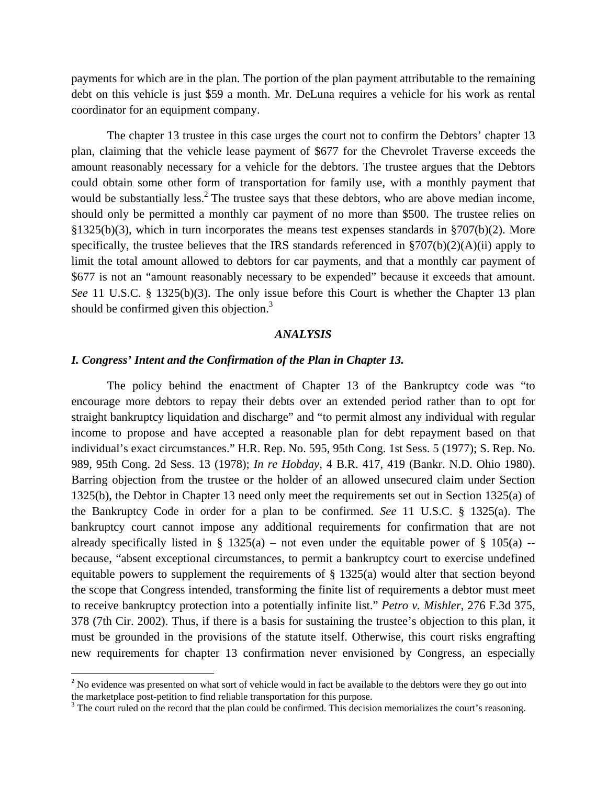payments for which are in the plan. The portion of the plan payment attributable to the remaining debt on this vehicle is just \$59 a month. Mr. DeLuna requires a vehicle for his work as rental coordinator for an equipment company.

The chapter 13 trustee in this case urges the court not to confirm the Debtors' chapter 13 plan, claiming that the vehicle lease payment of \$677 for the Chevrolet Traverse exceeds the amount reasonably necessary for a vehicle for the debtors. The trustee argues that the Debtors could obtain some other form of transportation for family use, with a monthly payment that would be substantially less. $2$  The trustee says that these debtors, who are above median income, should only be permitted a monthly car payment of no more than \$500. The trustee relies on §1325(b)(3), which in turn incorporates the means test expenses standards in §707(b)(2). More specifically, the trustee believes that the IRS standards referenced in §707(b)(2)(A)(ii) apply to limit the total amount allowed to debtors for car payments, and that a monthly car payment of \$677 is not an "amount reasonably necessary to be expended" because it exceeds that amount. *See* 11 U.S.C. § 1325(b)(3). The only issue before this Court is whether the Chapter 13 plan should be confirmed given this objection.<sup>3</sup>

#### *ANALYSIS*

#### *I. Congress' Intent and the Confirmation of the Plan in Chapter 13.*

 The policy behind the enactment of Chapter 13 of the Bankruptcy code was "to encourage more debtors to repay their debts over an extended period rather than to opt for straight bankruptcy liquidation and discharge" and "to permit almost any individual with regular income to propose and have accepted a reasonable plan for debt repayment based on that individual's exact circumstances." H.R. Rep. No. 595, 95th Cong. 1st Sess. 5 (1977); S. Rep. No. 989, 95th Cong. 2d Sess. 13 (1978); *In re Hobday*, 4 B.R. 417, 419 (Bankr. N.D. Ohio 1980). Barring objection from the trustee or the holder of an allowed unsecured claim under Section 1325(b), the Debtor in Chapter 13 need only meet the requirements set out in Section 1325(a) of the Bankruptcy Code in order for a plan to be confirmed. *See* 11 U.S.C. § 1325(a). The bankruptcy court cannot impose any additional requirements for confirmation that are not already specifically listed in § 1325(a) – not even under the equitable power of § 105(a) – because, "absent exceptional circumstances, to permit a bankruptcy court to exercise undefined equitable powers to supplement the requirements of § 1325(a) would alter that section beyond the scope that Congress intended, transforming the finite list of requirements a debtor must meet to receive bankruptcy protection into a potentially infinite list." *Petro v. Mishler*, 276 F.3d 375, 378 (7th Cir. 2002). Thus, if there is a basis for sustaining the trustee's objection to this plan, it must be grounded in the provisions of the statute itself. Otherwise, this court risks engrafting new requirements for chapter 13 confirmation never envisioned by Congress, an especially

<sup>&</sup>lt;sup>2</sup> No evidence was presented on what sort of vehicle would in fact be available to the debtors were they go out into the marketplace post-petition to find reliable transportation for this purpose.

<sup>&</sup>lt;sup>3</sup> The court ruled on the record that the plan could be confirmed. This decision memorializes the court's reasoning.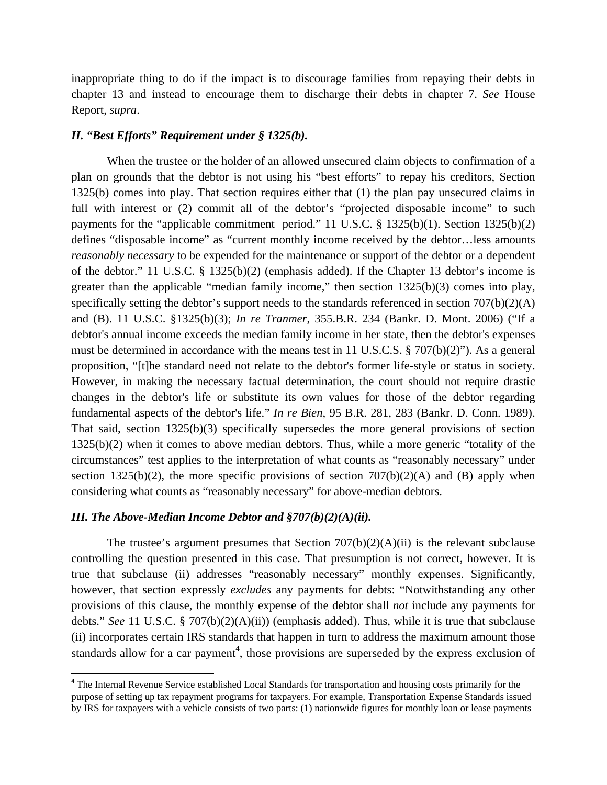inappropriate thing to do if the impact is to discourage families from repaying their debts in chapter 13 and instead to encourage them to discharge their debts in chapter 7. *See* House Report, *supra*.

#### *II. "Best Efforts" Requirement under § 1325(b).*

When the trustee or the holder of an allowed unsecured claim objects to confirmation of a plan on grounds that the debtor is not using his "best efforts" to repay his creditors, Section 1325(b) comes into play. That section requires either that (1) the plan pay unsecured claims in full with interest or (2) commit all of the debtor's "projected disposable income" to such payments for the "applicable commitment period." 11 U.S.C. § 1325(b)(1). Section 1325(b)(2) defines "disposable income" as "current monthly income received by the debtor…less amounts *reasonably necessary* to be expended for the maintenance or support of the debtor or a dependent of the debtor." 11 U.S.C. § 1325(b)(2) (emphasis added). If the Chapter 13 debtor's income is greater than the applicable "median family income," then section 1325(b)(3) comes into play, specifically setting the debtor's support needs to the standards referenced in section  $707(b)(2)(A)$ and (B). 11 U.S.C. §1325(b)(3); *In re Tranmer*, 355.B.R. 234 (Bankr. D. Mont. 2006) ("If a debtor's annual income exceeds the median family income in her state, then the debtor's expenses must be determined in accordance with the means test in 11 U.S.C.S. § 707(b)(2)"). As a general proposition, "[t]he standard need not relate to the debtor's former life-style or status in society. However, in making the necessary factual determination, the court should not require drastic changes in the debtor's life or substitute its own values for those of the debtor regarding fundamental aspects of the debtor's life." *In re Bien*, 95 B.R. 281, 283 (Bankr. D. Conn. 1989). That said, section 1325(b)(3) specifically supersedes the more general provisions of section 1325(b)(2) when it comes to above median debtors. Thus, while a more generic "totality of the circumstances" test applies to the interpretation of what counts as "reasonably necessary" under section 1325(b)(2), the more specific provisions of section  $707(b)(2)(A)$  and (B) apply when considering what counts as "reasonably necessary" for above-median debtors.

#### *III. The Above-Median Income Debtor and §707(b)(2)(A)(ii).*

The trustee's argument presumes that Section  $707(b)(2)(A)(ii)$  is the relevant subclause controlling the question presented in this case. That presumption is not correct, however. It is true that subclause (ii) addresses "reasonably necessary" monthly expenses. Significantly, however, that section expressly *excludes* any payments for debts: "Notwithstanding any other provisions of this clause, the monthly expense of the debtor shall *not* include any payments for debts." *See* 11 U.S.C. § 707(b)(2)(A)(ii)) (emphasis added). Thus, while it is true that subclause (ii) incorporates certain IRS standards that happen in turn to address the maximum amount those standards allow for a car payment<sup>4</sup>, those provisions are superseded by the express exclusion of

<sup>&</sup>lt;sup>4</sup> The Internal Revenue Service established Local Standards for transportation and housing costs primarily for the purpose of setting up tax repayment programs for taxpayers. For example, Transportation Expense Standards issued by IRS for taxpayers with a vehicle consists of two parts: (1) nationwide figures for monthly loan or lease payments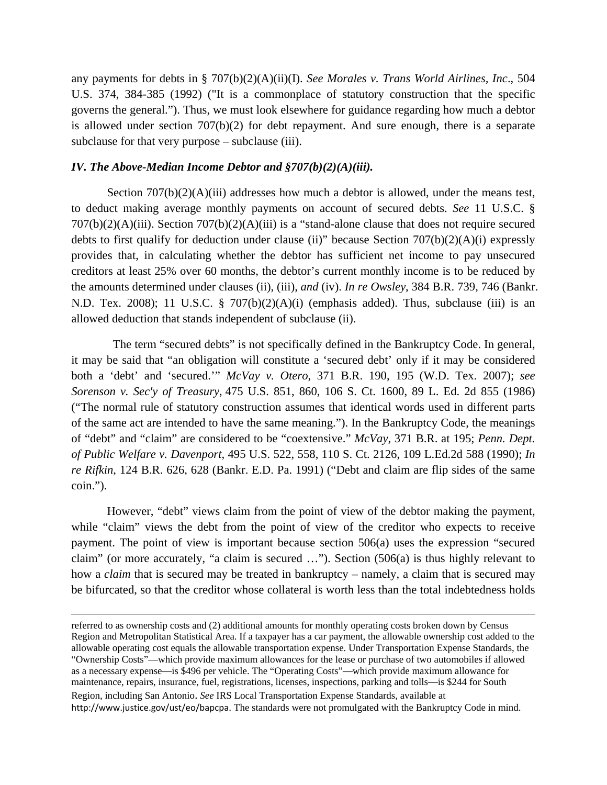any payments for debts in § 707(b)(2)(A)(ii)(I). *See Morales v. Trans World Airlines, Inc*., 504 U.S. 374, 384-385 (1992) ("It is a commonplace of statutory construction that the specific governs the general."). Thus, we must look elsewhere for guidance regarding how much a debtor is allowed under section 707(b)(2) for debt repayment. And sure enough, there is a separate subclause for that very purpose – subclause (iii).

#### *IV. The Above-Median Income Debtor and §707(b)(2)(A)(iii).*

Section  $707(b)(2)(A)(iii)$  addresses how much a debtor is allowed, under the means test, to deduct making average monthly payments on account of secured debts. *See* 11 U.S.C. § 707(b)(2)(A)(iii). Section 707(b)(2)(A)(iii) is a "stand-alone clause that does not require secured debts to first qualify for deduction under clause (ii)" because Section  $707(b)(2)(A)(i)$  expressly provides that, in calculating whether the debtor has sufficient net income to pay unsecured creditors at least 25% over 60 months, the debtor's current monthly income is to be reduced by the amounts determined under clauses (ii), (iii), *and* (iv). *In re Owsley*, 384 B.R. 739, 746 (Bankr. N.D. Tex. 2008); 11 U.S.C. § 707(b)(2)(A)(i) (emphasis added). Thus, subclause (iii) is an allowed deduction that stands independent of subclause (ii).

 The term "secured debts" is not specifically defined in the Bankruptcy Code. In general, it may be said that "an obligation will constitute a 'secured debt' only if it may be considered both a 'debt' and 'secured.'" *McVay v. Otero*, 371 B.R. 190, 195 (W.D. Tex. 2007); *see Sorenson v. Sec'y of Treasury*, 475 U.S. 851, 860, 106 S. Ct. 1600, 89 L. Ed. 2d 855 (1986) ("The normal rule of statutory construction assumes that identical words used in different parts of the same act are intended to have the same meaning."). In the Bankruptcy Code, the meanings of "debt" and "claim" are considered to be "coextensive." *McVay*, 371 B.R. at 195; *Penn. Dept. of Public Welfare v. Davenport*, 495 U.S. 522, 558, 110 S. Ct. 2126, 109 L.Ed.2d 588 (1990); *In re Rifkin*, 124 B.R. 626, 628 (Bankr. E.D. Pa. 1991) ("Debt and claim are flip sides of the same coin.").

However, "debt" views claim from the point of view of the debtor making the payment, while "claim" views the debt from the point of view of the creditor who expects to receive payment. The point of view is important because section 506(a) uses the expression "secured claim" (or more accurately, "a claim is secured …"). Section (506(a) is thus highly relevant to how a *claim* that is secured may be treated in bankruptcy – namely, a claim that is secured may be bifurcated, so that the creditor whose collateral is worth less than the total indebtedness holds

referred to as ownership costs and (2) additional amounts for monthly operating costs broken down by Census Region and Metropolitan Statistical Area. If a taxpayer has a car payment, the allowable ownership cost added to the allowable operating cost equals the allowable transportation expense. Under Transportation Expense Standards, the "Ownership Costs"—which provide maximum allowances for the lease or purchase of two automobiles if allowed as a necessary expense—is \$496 per vehicle. The "Operating Costs"—which provide maximum allowance for maintenance, repairs, insurance, fuel, registrations, licenses, inspections, parking and tolls—is \$244 for South Region, including San Antonio. *See* IRS Local Transportation Expense Standards, available at http://www.justice.gov/ust/eo/bapcpa. The standards were not promulgated with the Bankruptcy Code in mind.

<u> 1989 - Johann Stoff, amerikansk politiker (d. 1989)</u>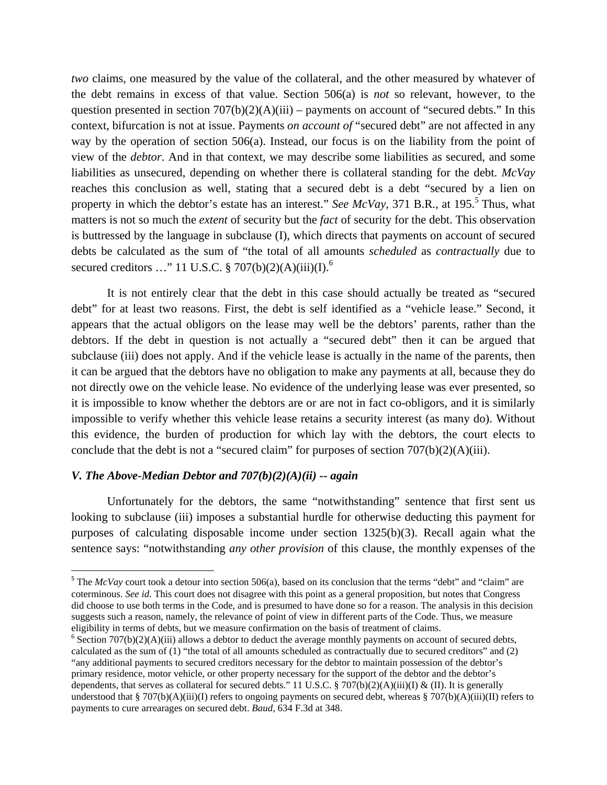*two* claims, one measured by the value of the collateral, and the other measured by whatever of the debt remains in excess of that value. Section 506(a) is *not* so relevant, however, to the question presented in section  $707(b)(2)(A)(iii)$  – payments on account of "secured debts." In this context, bifurcation is not at issue. Payments *on account of* "secured debt" are not affected in any way by the operation of section 506(a). Instead, our focus is on the liability from the point of view of the *debtor*. And in that context, we may describe some liabilities as secured, and some liabilities as unsecured, depending on whether there is collateral standing for the debt. *McVay*  reaches this conclusion as well, stating that a secured debt is a debt "secured by a lien on property in which the debtor's estate has an interest." *See McVay*, 371 B.R., at 195.<sup>5</sup> Thus, what matters is not so much the *extent* of security but the *fact* of security for the debt. This observation is buttressed by the language in subclause (I), which directs that payments on account of secured debts be calculated as the sum of "the total of all amounts *scheduled* as *contractually* due to secured creditors ..." 11 U.S.C. § 707(b)(2)(A)(iii)(I).<sup>6</sup>

It is not entirely clear that the debt in this case should actually be treated as "secured debt" for at least two reasons. First, the debt is self identified as a "vehicle lease." Second, it appears that the actual obligors on the lease may well be the debtors' parents, rather than the debtors. If the debt in question is not actually a "secured debt" then it can be argued that subclause (iii) does not apply. And if the vehicle lease is actually in the name of the parents, then it can be argued that the debtors have no obligation to make any payments at all, because they do not directly owe on the vehicle lease. No evidence of the underlying lease was ever presented, so it is impossible to know whether the debtors are or are not in fact co-obligors, and it is similarly impossible to verify whether this vehicle lease retains a security interest (as many do). Without this evidence, the burden of production for which lay with the debtors, the court elects to conclude that the debt is not a "secured claim" for purposes of section 707(b)(2)(A)(iii).

### *V. The Above-Median Debtor and 707(b)(2)(A)(ii) -- again*

Unfortunately for the debtors, the same "notwithstanding" sentence that first sent us looking to subclause (iii) imposes a substantial hurdle for otherwise deducting this payment for purposes of calculating disposable income under section 1325(b)(3). Recall again what the sentence says: "notwithstanding *any other provision* of this clause, the monthly expenses of the

<sup>&</sup>lt;sup>5</sup> The *McVay* court took a detour into section 506(a), based on its conclusion that the terms "debt" and "claim" are coterminous. *See id.* This court does not disagree with this point as a general proposition, but notes that Congress did choose to use both terms in the Code, and is presumed to have done so for a reason. The analysis in this decision suggests such a reason, namely, the relevance of point of view in different parts of the Code. Thus, we measure eligibility in terms of debts, but we measure confirmation on the basis of treatment of claims.

<sup>&</sup>lt;sup>6</sup> Section 707(b)(2)(A)(iii) allows a debtor to deduct the average monthly payments on account of secured debts, calculated as the sum of (1) "the total of all amounts scheduled as contractually due to secured creditors" and (2) "any additional payments to secured creditors necessary for the debtor to maintain possession of the debtor's primary residence, motor vehicle, or other property necessary for the support of the debtor and the debtor's dependents, that serves as collateral for secured debts." 11 U.S.C. § 707(b)(2)(A)(iii)(I) & (II). It is generally understood that § 707(b)(A)(iii)(I) refers to ongoing payments on secured debt, whereas § 707(b)(A)(iii)(II) refers to payments to cure arrearages on secured debt. *Baud*, 634 F.3d at 348.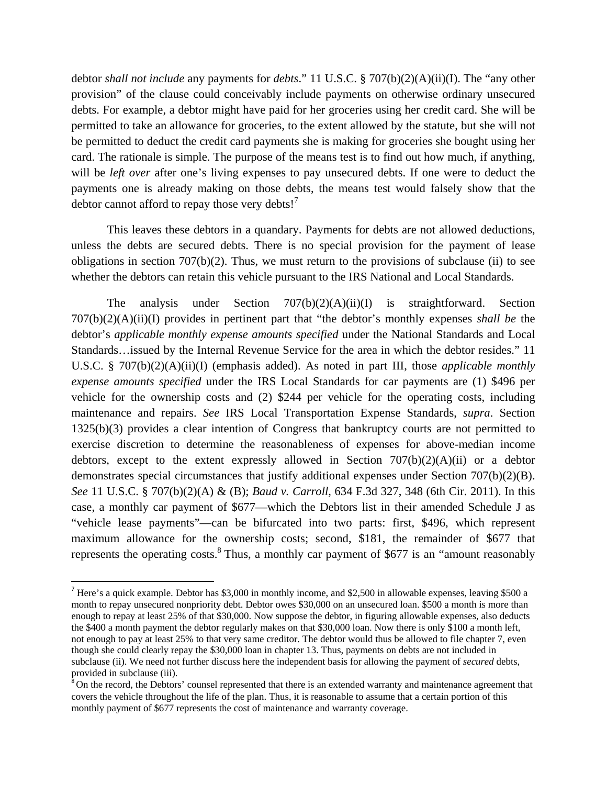debtor *shall not include* any payments for *debts*." 11 U.S.C. § 707(b)(2)(A)(ii)(I). The "any other provision" of the clause could conceivably include payments on otherwise ordinary unsecured debts. For example, a debtor might have paid for her groceries using her credit card. She will be permitted to take an allowance for groceries, to the extent allowed by the statute, but she will not be permitted to deduct the credit card payments she is making for groceries she bought using her card. The rationale is simple. The purpose of the means test is to find out how much, if anything, will be *left over* after one's living expenses to pay unsecured debts. If one were to deduct the payments one is already making on those debts, the means test would falsely show that the debtor cannot afford to repay those very debts!<sup>7</sup>

This leaves these debtors in a quandary. Payments for debts are not allowed deductions, unless the debts are secured debts. There is no special provision for the payment of lease obligations in section 707(b)(2). Thus, we must return to the provisions of subclause (ii) to see whether the debtors can retain this vehicle pursuant to the IRS National and Local Standards.

The analysis under Section  $707(b)(2)(A)(ii)(I)$  is straightforward. Section 707(b)(2)(A)(ii)(I) provides in pertinent part that "the debtor's monthly expenses *shall be* the debtor's *applicable monthly expense amounts specified* under the National Standards and Local Standards…issued by the Internal Revenue Service for the area in which the debtor resides." 11 U.S.C. § 707(b)(2)(A)(ii)(I) (emphasis added). As noted in part III, those *applicable monthly expense amounts specified* under the IRS Local Standards for car payments are (1) \$496 per vehicle for the ownership costs and (2) \$244 per vehicle for the operating costs, including maintenance and repairs. *See* IRS Local Transportation Expense Standards, *supra*. Section 1325(b)(3) provides a clear intention of Congress that bankruptcy courts are not permitted to exercise discretion to determine the reasonableness of expenses for above-median income debtors, except to the extent expressly allowed in Section  $707(b)(2)(A)(ii)$  or a debtor demonstrates special circumstances that justify additional expenses under Section 707(b)(2)(B). *See* 11 U.S.C. § 707(b)(2)(A) & (B); *Baud v. Carroll*, 634 F.3d 327, 348 (6th Cir. 2011). In this case, a monthly car payment of \$677—which the Debtors list in their amended Schedule J as "vehicle lease payments"—can be bifurcated into two parts: first, \$496, which represent maximum allowance for the ownership costs; second, \$181, the remainder of \$677 that represents the operating costs.<sup>8</sup> Thus, a monthly car payment of \$677 is an "amount reasonably

<sup>7</sup> Here's a quick example. Debtor has \$3,000 in monthly income, and \$2,500 in allowable expenses, leaving \$500 a month to repay unsecured nonpriority debt. Debtor owes \$30,000 on an unsecured loan. \$500 a month is more than enough to repay at least 25% of that \$30,000. Now suppose the debtor, in figuring allowable expenses, also deducts the \$400 a month payment the debtor regularly makes on that \$30,000 loan. Now there is only \$100 a month left, not enough to pay at least 25% to that very same creditor. The debtor would thus be allowed to file chapter 7, even though she could clearly repay the \$30,000 loan in chapter 13. Thus, payments on debts are not included in subclause (ii). We need not further discuss here the independent basis for allowing the payment of *secured* debts, provided in subclause (iii).

<sup>&</sup>lt;sup>8</sup>On the record, the Debtors' counsel represented that there is an extended warranty and maintenance agreement that covers the vehicle throughout the life of the plan. Thus, it is reasonable to assume that a certain portion of this monthly payment of \$677 represents the cost of maintenance and warranty coverage.